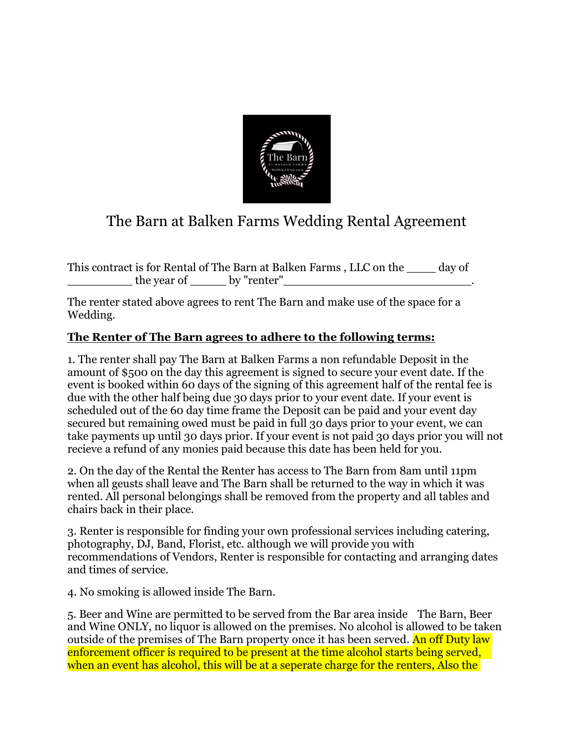

## The Barn at Balken Farms Wedding Rental Agreement

This contract is for Rental of The Barn at Balken Farms , LLC on the \_\_\_\_ day of  $\bot$  the year of  $\_\_$  by "renter" $\_\_$ 

The renter stated above agrees to rent The Barn and make use of the space for a Wedding.

## **The Renter of The Barn agrees to adhere to the following terms:**

1. The renter shall pay The Barn at Balken Farms a non refundable Deposit in the amount of \$500 on the day this agreement is signed to secure your event date. If the event is booked within 60 days of the signing of this agreement half of the rental fee is due with the other half being due 30 days prior to your event date. If your event is scheduled out of the 60 day time frame the Deposit can be paid and your event day secured but remaining owed must be paid in full 30 days prior to your event, we can take payments up until 30 days prior. If your event is not paid 30 days prior you will not recieve a refund of any monies paid because this date has been held for you.

2. On the day of the Rental the Renter has access to The Barn from 8am until 11pm when all geusts shall leave and The Barn shall be returned to the way in which it was rented. All personal belongings shall be removed from the property and all tables and chairs back in their place.

3. Renter is responsible for finding your own professional services including catering, photography, DJ, Band, Florist, etc. although we will provide you with recommendations of Vendors, Renter is responsible for contacting and arranging dates and times of service.

4. No smoking is allowed inside The Barn.

5. Beer and Wine are permitted to be served from the Bar area inside The Barn, Beer and Wine ONLY, no liquor is allowed on the premises. No alcohol is allowed to be taken outside of the premises of The Barn property once it has been served. An off Duty law enforcement officer is required to be present at the time alcohol starts being served, when an event has alcohol, this will be at a seperate charge for the renters, Also the